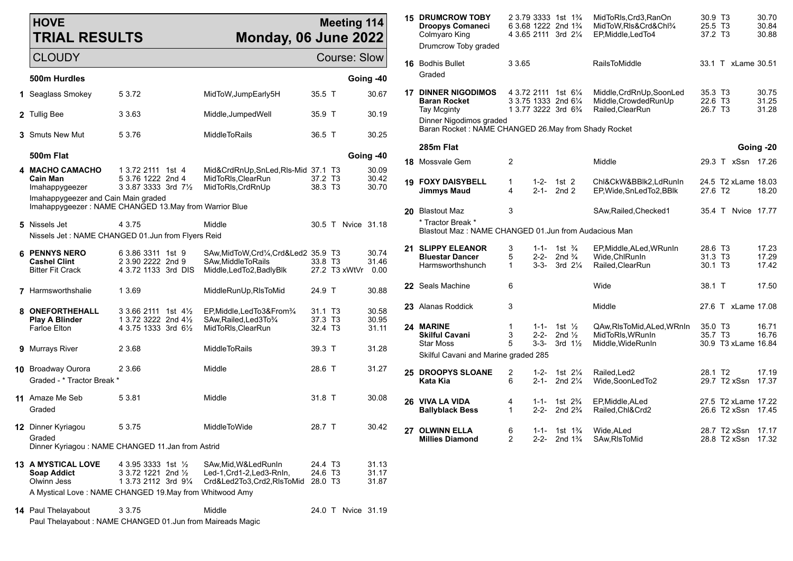| <b>HOVE</b><br><b>TRIAL RESULTS</b>                                                          |                                                                              | <b>Meeting 114</b><br>Monday, 06 June 2022                                                 |                                |                     |                         |    | <b>15 DRUMCROW TOBY</b><br><b>Droopys Comaneci</b><br>Colmyaro King<br>Drumcrow Toby graded |                     |                        | 2 3.79 3333 1st 1%<br>6 3.68 1222 2nd 1 <sup>3</sup> / <sub>4</sub><br>4 3.65 2111 3rd 21/4 | MidToRIs, Crd3, RanOn<br>MidToW,RIs&Crd&Chl3/4<br>EP, Middle, LedTo4 | 30.9 T3<br>25.5 T3<br>37.2 T3  |                                           | 30.70<br>30.84<br>30.88 |
|----------------------------------------------------------------------------------------------|------------------------------------------------------------------------------|--------------------------------------------------------------------------------------------|--------------------------------|---------------------|-------------------------|----|---------------------------------------------------------------------------------------------|---------------------|------------------------|---------------------------------------------------------------------------------------------|----------------------------------------------------------------------|--------------------------------|-------------------------------------------|-------------------------|
| <b>CLOUDY</b>                                                                                |                                                                              |                                                                                            |                                | <b>Course: Slow</b> |                         |    | 16 Bodhis Bullet                                                                            | 3 3.65              |                        |                                                                                             | RailsToMiddle                                                        |                                | 33.1 T xLame 30.51                        |                         |
| 500m Hurdles                                                                                 |                                                                              |                                                                                            |                                |                     | Going -40               |    | Graded                                                                                      |                     |                        |                                                                                             |                                                                      |                                |                                           |                         |
| 1 Seaglass Smokey                                                                            | 5 3.72                                                                       | MidToW, JumpEarly5H                                                                        | 35.5 T                         |                     | 30.67                   |    | <b>17 DINNER NIGODIMOS</b><br><b>Baran Rocket</b>                                           |                     |                        | 4 3.72 2111 1st 61/4<br>3 3.75 1333 2nd 61/4                                                | Middle, CrdRnUp, SoonLed<br>Middle, Crowded RunUp                    | 35.3 T3<br>22.6 T3             |                                           | 30.75<br>31.25          |
| 2 Tullig Bee                                                                                 | 3 3.63                                                                       | Middle, JumpedWell                                                                         | 35.9 T                         |                     | 30.19                   |    | Tay Mcginty<br>Dinner Nigodimos graded                                                      |                     |                        | 1 3.77 3222 3rd 6 <sup>3</sup> / <sub>4</sub>                                               | Railed, ClearRun                                                     | 26.7 T3                        |                                           | 31.28                   |
| <b>3</b> Smuts New Mut                                                                       | 5 3.76                                                                       | MiddleToRails                                                                              | 36.5 T                         |                     | 30.25                   |    | Baran Rocket: NAME CHANGED 26. May from Shady Rocket                                        |                     |                        |                                                                                             |                                                                      |                                |                                           |                         |
| 500m Flat                                                                                    |                                                                              |                                                                                            |                                |                     | Going -40               |    | 285m Flat                                                                                   |                     |                        |                                                                                             |                                                                      |                                |                                           | Going -20               |
| 4 MACHO CAMACHO                                                                              | 1 3.72 2111 1st 4                                                            | Mid&CrdRnUp,SnLed,Rls-Mid 37.1 T3                                                          |                                |                     | 30.09                   |    | <b>18</b> Mossvale Gem                                                                      | $\overline{2}$      |                        |                                                                                             | Middle                                                               |                                | 29.3 T xSsn 17.26                         |                         |
| <b>Cain Man</b><br>Imahappygeezer                                                            | 5 3.76 1222 2nd 4<br>3 3.87 3333 3rd 71/2                                    | MidToRIs, ClearRun<br>MidToRIs, CrdRnUp                                                    | 37.2 T3<br>38.3 T3             |                     | 30.42<br>30.70          |    | <b>19 FOXY DAISYBELL</b><br><b>Jimmys Maud</b>                                              | 1<br>4              | 1-2-<br>$2 - 1 -$      | 1st 2<br>2nd 2                                                                              | Chl&CkW&BBlk2,LdRunIn<br>EP, Wide, SnLedTo2, BBlk                    | 27.6 T2                        | 24.5 T2 xLame 18.03                       | 18.20                   |
| Imahappygeezer and Cain Main graded<br>Imahappygeezer: NAME CHANGED 13.May from Warrior Blue |                                                                              |                                                                                            |                                |                     |                         |    |                                                                                             |                     |                        |                                                                                             |                                                                      |                                |                                           |                         |
|                                                                                              |                                                                              |                                                                                            |                                |                     |                         |    | 20 Blastout Maz<br>* Tractor Break *                                                        | 3                   |                        |                                                                                             | SAw, Railed, Checked1                                                |                                | 35.4 T Nvice 17.77                        |                         |
| 5 Nissels Jet<br>Nissels Jet : NAME CHANGED 01.Jun from Flyers Reid                          | 4 3.75                                                                       | Middle                                                                                     |                                | 30.5 T Nvice 31.18  |                         |    | Blastout Maz: NAME CHANGED 01.Jun from Audacious Man                                        |                     |                        |                                                                                             |                                                                      |                                |                                           |                         |
|                                                                                              |                                                                              |                                                                                            |                                |                     |                         | 21 | <b>SLIPPY ELEANOR</b>                                                                       | 3                   | $1 - 1 -$              | 1st $\frac{3}{4}$                                                                           | EP, Middle, ALed, WRunIn                                             | 28.6 T <sub>3</sub>            |                                           | 17.23                   |
| <b>6 PENNYS NERO</b><br><b>Cashel Clint</b><br><b>Bitter Fit Crack</b>                       | 6 3.86 3311 1st 9<br>2 3.90 2222 2nd 9<br>4 3.72 1133 3rd DIS                | SAw, MidToW, Crd1/4, Crd&Led2 35.9 T3<br>SAw, Middle To Rails<br>Middle, LedTo2, Badly Blk | 33.8 T3                        | 27.2 T3 xWtVr       | 30.74<br>31.46<br>0.00  |    | <b>Bluestar Dancer</b><br>Harmsworthshunch                                                  | 5<br>$\mathbf{1}$   | $2 - 2 -$<br>$3 - 3 -$ | 2nd $\frac{3}{4}$<br>3rd 21/4                                                               | Wide, ChlRunIn<br>Railed, ClearRun                                   | 31.3 T3<br>30.1 T <sub>3</sub> |                                           | 17.29<br>17.42          |
| 7 Harmsworthshalie                                                                           | 1 3.69                                                                       | MiddleRunUp, RIsToMid                                                                      | 24.9 T                         |                     | 30.88                   |    | 22 Seals Machine                                                                            | 6                   |                        |                                                                                             | Wide                                                                 | 38.1 T                         |                                           | 17.50                   |
| 8 ONEFORTHEHALL                                                                              | 3 3.66 2111 1st 41/ <sub>2</sub>                                             | EP, Middle, Led To 3& From 3/4                                                             | 31.1 T3                        |                     | 30.58                   |    | 23 Alanas Roddick                                                                           | 3                   |                        |                                                                                             | Middle                                                               |                                | 27.6 T xLame 17.08                        |                         |
| <b>Play A Blinder</b><br><b>Farloe Elton</b>                                                 | 1 3.72 3222 2nd 41/2<br>4 3.75 1333 3rd 61/2                                 | SAw, Railed, Led 3To 3/4<br>MidToRIs, ClearRun                                             | 37.3 T3<br>32.4 T3             |                     | 30.95<br>31.11          |    | 24 MARINE<br><b>Skilful Cavani</b>                                                          | -1<br>3             | $1 - 1 -$<br>$2 - 2 -$ | 1st $\frac{1}{2}$<br>2nd $\frac{1}{2}$                                                      | QAw, RIs To Mid, ALed, WRnIn<br>MidToRIs, WRunIn                     | 35.0 T3<br>35.7 T3             |                                           | 16.71<br>16.76          |
| 9 Murrays River                                                                              | 2 3.68                                                                       | MiddleToRails                                                                              | 39.3 T                         |                     | 31.28                   |    | <b>Star Moss</b><br>Skilful Cavani and Marine graded 285                                    | 5                   | $3 - 3 -$              | 3rd $1\frac{1}{2}$                                                                          | Middle, WideRunIn                                                    |                                | 30.9 T3 xLame 16.84                       |                         |
| 10 Broadway Ourora                                                                           | 2 3.66                                                                       | Middle                                                                                     | 28.6 T                         |                     | 31.27                   |    | 25 DROOPYS SLOANE                                                                           |                     |                        |                                                                                             |                                                                      | 28.1 T <sub>2</sub>            |                                           | 17.19                   |
| Graded - * Tractor Break *                                                                   |                                                                              |                                                                                            |                                |                     |                         |    | Kata Kia                                                                                    | 2<br>6              | 1-2-<br>$2 - 1 -$      | 1st 21/ <sub>4</sub><br>2nd $2\frac{1}{4}$                                                  | Railed, Led <sub>2</sub><br>Wide.SoonLedTo2                          |                                | 29.7 T2 xSsn                              | 17.37                   |
| 11 Amaze Me Seb<br>Graded                                                                    | 5 3.81                                                                       | Middle                                                                                     | 31.8 T                         |                     | 30.08                   |    | 26 VIVA LA VIDA<br><b>Ballyblack Bess</b>                                                   | 4<br>$\mathbf{1}$   | $1 - 1 -$<br>$2 - 2 -$ | 1st $2\frac{3}{4}$<br>2nd $2\frac{3}{4}$                                                    | EP, Middle, ALed<br>Railed, Chl&Crd2                                 |                                | 27.5 T2 xLame 17.22<br>26.6 T2 xSsn 17.45 |                         |
| 12 Dinner Kyriagou<br>Graded<br>Dinner Kyriagou: NAME CHANGED 11. Jan from Astrid            | 5 3.75                                                                       | MiddleToWide                                                                               | 28.7 T                         |                     | 30.42                   |    | 27 OLWINN ELLA<br><b>Millies Diamond</b>                                                    | 6<br>$\overline{c}$ |                        | 1-1- 1st $1\frac{3}{4}$                                                                     | Wide, ALed<br>2-2- 2nd 1% SAw, RIsToMid                              |                                | 28.7 T2 xSsn 17.17<br>28.8 T2 xSsn 17.32  |                         |
| <b>13 A MYSTICAL LOVE</b><br><b>Soap Addict</b><br>Olwinn Jess                               | 4 3.95 3333 1st $\frac{1}{2}$<br>3 3.72 1221 2nd 1/2<br>1 3.73 2112 3rd 91/4 | SAw, Mid, W&Led RunIn<br>Led-1.Crd1-2.Led3-RnIn.<br>Crd&Led2To3,Crd2,RIsToMid 28.0 T3      | 24.4 T <sub>3</sub><br>24.6 T3 |                     | 31.13<br>31.17<br>31.87 |    |                                                                                             |                     |                        |                                                                                             |                                                                      |                                |                                           |                         |
| A Mystical Love: NAME CHANGED 19. May from Whitwood Amy                                      |                                                                              |                                                                                            |                                |                     |                         |    |                                                                                             |                     |                        |                                                                                             |                                                                      |                                |                                           |                         |
| 14 Paul Thelayabout                                                                          | 3 3.75                                                                       | Middle                                                                                     |                                | 24.0 T Nvice 31.19  |                         |    |                                                                                             |                     |                        |                                                                                             |                                                                      |                                |                                           |                         |
| Paul Thelayabout: NAME CHANGED 01.Jun from Maireads Magic                                    |                                                                              |                                                                                            |                                |                     |                         |    |                                                                                             |                     |                        |                                                                                             |                                                                      |                                |                                           |                         |